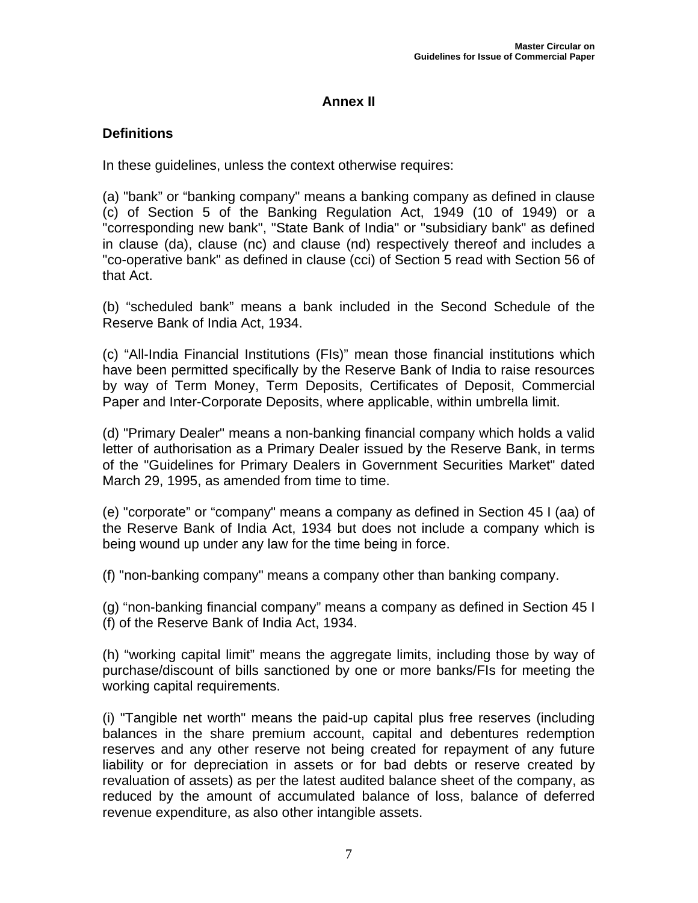## **Annex II**

## **Definitions**

In these guidelines, unless the context otherwise requires:

(a) "bank" or "banking company" means a banking company as defined in clause (c) of Section 5 of the Banking Regulation Act, 1949 (10 of 1949) or a "corresponding new bank", "State Bank of India" or "subsidiary bank" as defined in clause (da), clause (nc) and clause (nd) respectively thereof and includes a "co-operative bank" as defined in clause (cci) of Section 5 read with Section 56 of that Act.

(b) "scheduled bank" means a bank included in the Second Schedule of the Reserve Bank of India Act, 1934.

(c) "All-India Financial Institutions (FIs)" mean those financial institutions which have been permitted specifically by the Reserve Bank of India to raise resources by way of Term Money, Term Deposits, Certificates of Deposit, Commercial Paper and Inter-Corporate Deposits, where applicable, within umbrella limit.

(d) "Primary Dealer" means a non-banking financial company which holds a valid letter of authorisation as a Primary Dealer issued by the Reserve Bank, in terms of the "Guidelines for Primary Dealers in Government Securities Market" dated March 29, 1995, as amended from time to time.

(e) "corporate" or "company" means a company as defined in Section 45 I (aa) of the Reserve Bank of India Act, 1934 but does not include a company which is being wound up under any law for the time being in force.

(f) "non-banking company" means a company other than banking company.

(g) "non-banking financial company" means a company as defined in Section 45 I (f) of the Reserve Bank of India Act, 1934.

(h) "working capital limit" means the aggregate limits, including those by way of purchase/discount of bills sanctioned by one or more banks/FIs for meeting the working capital requirements.

(i) "Tangible net worth" means the paid-up capital plus free reserves (including balances in the share premium account, capital and debentures redemption reserves and any other reserve not being created for repayment of any future liability or for depreciation in assets or for bad debts or reserve created by revaluation of assets) as per the latest audited balance sheet of the company, as reduced by the amount of accumulated balance of loss, balance of deferred revenue expenditure, as also other intangible assets.